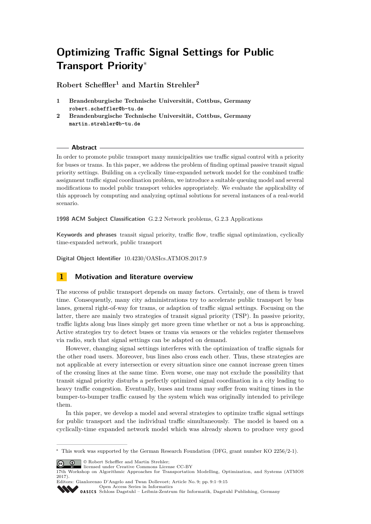# **Optimizing Traffic Signal Settings for Public Transport Priority**<sup>∗</sup>

**Robert Scheffler<sup>1</sup> and Martin Strehler<sup>2</sup>**

- **1 Brandenburgische Technische Universität, Cottbus, Germany robert.scheffler@b-tu.de**
- **2 Brandenburgische Technische Universität, Cottbus, Germany martin.strehler@b-tu.de**

## **Abstract**

In order to promote public transport many municipalities use traffic signal control with a priority for buses or trams. In this paper, we address the problem of finding optimal passive transit signal priority settings. Building on a cyclically time-expanded network model for the combined traffic assignment traffic signal coordination problem, we introduce a suitable queuing model and several modifications to model public transport vehicles appropriately. We evaluate the applicability of this approach by computing and analyzing optimal solutions for several instances of a real-world scenario.

**1998 ACM Subject Classification** G.2.2 Network problems, G.2.3 Applications

**Keywords and phrases** transit signal priority, traffic flow, traffic signal optimization, cyclically time-expanded network, public transport

**Digital Object Identifier** [10.4230/OASIcs.ATMOS.2017.9](http://dx.doi.org/10.4230/OASIcs.ATMOS.2017.9)

# **1 Motivation and literature overview**

The success of public transport depends on many factors. Certainly, one of them is travel time. Consequently, many city administrations try to accelerate public transport by bus lanes, general right-of-way for trams, or adaption of traffic signal settings. Focusing on the latter, there are mainly two strategies of transit signal priority (TSP). In passive priority, traffic lights along bus lines simply get more green time whether or not a bus is approaching. Active strategies try to detect buses or trams via sensors or the vehicles register themselves via radio, such that signal settings can be adapted on demand.

However, changing signal settings interferes with the optimization of traffic signals for the other road users. Moreover, bus lines also cross each other. Thus, these strategies are not applicable at every intersection or every situation since one cannot increase green times of the crossing lines at the same time. Even worse, one may not exclude the possibility that transit signal priority disturbs a perfectly optimized signal coordination in a city leading to heavy traffic congestion. Eventually, buses and trams may suffer from waiting times in the bumper-to-bumper traffic caused by the system which was originally intended to privilege them.

In this paper, we develop a model and several strategies to optimize traffic signal settings for public transport and the individual traffic simultaneously. The model is based on a cyclically-time expanded network model which was already shown to produce very good

© Robert Scheffler and Martin Strehler;

licensed under Creative Commons License CC-BY

Editors: Gianlorenzo D'Angelo and Twan Dollevoet; Article No. 9; pp. 9:1–9[:15](#page-14-0) [Open Access Series in Informatics](http://www.dagstuhl.de/oasics/)

```
Schloss Dagstuhl – Leibniz-Zentrum für Informatik, Dagstuhl Publishing, Germany
```
<sup>∗</sup> This work was supported by the German Research Foundation (DFG, grant number KO 2256/2-1).

<sup>17</sup>th Workshop on Algorithmic Approaches for Transportation Modelling, Optimization, and Systems (ATMOS 2017).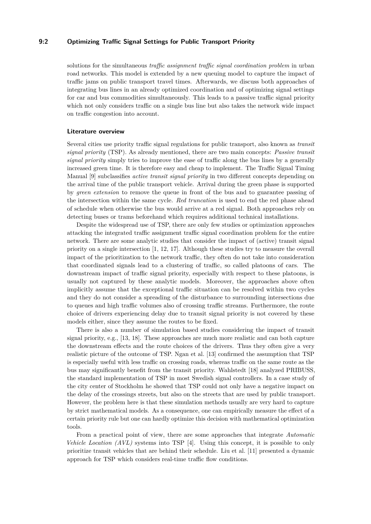## **9:2 Optimizing Traffic Signal Settings for Public Transport Priority**

solutions for the simultaneous *traffic assignment traffic signal coordination problem* in urban road networks. This model is extended by a new queuing model to capture the impact of traffic jams on public transport travel times. Afterwards, we discuss both approaches of integrating bus lines in an already optimized coordination and of optimizing signal settings for car and bus commodities simultaneously. This leads to a passive traffic signal priority which not only considers traffic on a single bus line but also takes the network wide impact on traffic congestion into account.

#### **Literature overview**

Several cities use priority traffic signal regulations for public transport, also known as *transit signal priority* (TSP). As already mentioned, there are two main concepts: *Passive transit signal priority* simply tries to improve the ease of traffic along the bus lines by a generally increased green time. It is therefore easy and cheap to implement. The Traffic Signal Timing Manual [\[9\]](#page-14-1) subclassifies *active transit signal priority* in two different concepts depending on the arrival time of the public transport vehicle. Arrival during the green phase is supported by *green extension* to remove the queue in front of the bus and to guarantee passing of the intersection within the same cycle. *Red truncation* is used to end the red phase ahead of schedule when otherwise the bus would arrive at a red signal. Both approaches rely on detecting buses or trams beforehand which requires additional technical installations.

Despite the widespread use of TSP, there are only few studies or optimization approaches attacking the integrated traffic assignment traffic signal coordination problem for the entire network. There are some analytic studies that consider the impact of (active) transit signal priority on a single intersection [\[1,](#page-14-2) [12,](#page-14-3) [17\]](#page-14-4). Although these studies try to measure the overall impact of the prioritization to the network traffic, they often do not take into consideration that coordinated signals lead to a clustering of traffic, so called platoons of cars. The downstream impact of traffic signal priority, especially with respect to these platoons, is usually not captured by these analytic models. Moreover, the approaches above often implicitly assume that the exceptional traffic situation can be resolved within two cycles and they do not consider a spreading of the disturbance to surrounding intersections due to queues and high traffic volumes also of crossing traffic streams. Furthermore, the route choice of drivers experiencing delay due to transit signal priority is not covered by these models either, since they assume the routes to be fixed.

There is also a number of simulation based studies considering the impact of transit signal priority, e.g., [\[13,](#page-14-5) [18\]](#page-14-6). These approaches are much more realistic and can both capture the downstream effects and the route choices of the drivers. Thus they often give a very realistic picture of the outcome of TSP. Ngan et al. [\[13\]](#page-14-5) confirmed the assumption that TSP is especially useful with less traffic on crossing roads, whereas traffic on the same route as the bus may significantly benefit from the transit priority. Wahlstedt [\[18\]](#page-14-6) analyzed PRIBUSS, the standard implementation of TSP in most Swedish signal controllers. In a case study of the city center of Stockholm he showed that TSP could not only have a negative impact on the delay of the crossings streets, but also on the streets that are used by public transport. However, the problem here is that these simulation methods usually are very hard to capture by strict mathematical models. As a consequence, one can empirically measure the effect of a certain priority rule but one can hardly optimize this decision with mathematical optimization tools.

From a practical point of view, there are some approaches that integrate *Automatic Vehicle Location (AVL)* systems into TSP [\[4\]](#page-14-7). Using this concept, it is possible to only prioritize transit vehicles that are behind their schedule. Liu et al. [\[11\]](#page-14-8) presented a dynamic approach for TSP which considers real-time traffic flow conditions.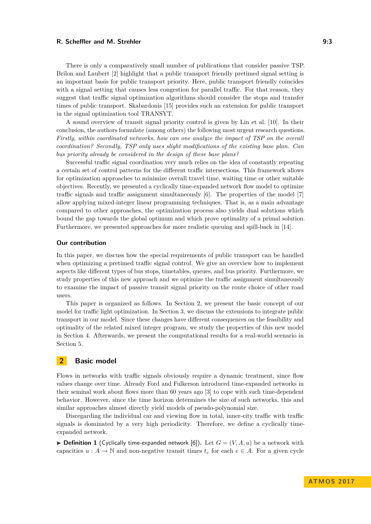#### **R. Scheffler and M. Strehler 6:23 and 19:3** 9:3

There is only a comparatively small number of publications that consider passive TSP. Brilon and Laubert [\[2\]](#page-14-9) highlight that a public transport friendly pretimed signal setting is an important basis for public transport priority. Here, public transport friendly coincides with a signal setting that causes less congestion for parallel traffic. For that reason, they suggest that traffic signal optimization algorithms should consider the stops and transfer times of public transport. Skabardonis [\[15\]](#page-14-10) provides such an extension for public transport in the signal optimization tool TRANSYT.

A sound overview of transit signal priority control is given by Lin et al. [\[10\]](#page-14-11). In their conclusion, the authors formulate (among others) the following most urgent research questions. *Firstly, within coordinated networks, how can one analyze the impact of TSP on the overall coordination? Secondly, TSP only uses slight modifications of the existing base plan. Can bus priority already be considered in the design of these base plans?*

Successful traffic signal coordination very much relies on the idea of constantly repeating a certain set of control patterns for the different traffic intersections. This framework allows for optimization approaches to minimize overall travel time, waiting time or other suitable objectives. Recently, we presented a cyclically time-expanded network flow model to optimize traffic signals and traffic assignment simultaneously [\[6\]](#page-14-12). The properties of the model [\[7\]](#page-14-13) allow applying mixed-integer linear programming techniques. That is, as a main advantage compared to other approaches, the optimization process also yields dual solutions which bound the gap towards the global optimum and which prove optimality of a primal solution. Furthermore, we presented approaches for more realistic queuing and spill-back in [\[14\]](#page-14-14).

## **Our contribution**

In this paper, we discuss how the special requirements of public transport can be handled when optimizing a pretimed traffic signal control. We give an overview how to implement aspects like different types of bus stops, timetables, queues, and bus priority. Furthermore, we study properties of this new approach and we optimize the traffic assignment simultaneously to examine the impact of passive transit signal priority on the route choice of other road users.

This paper is organized as follows. In Section [2,](#page-2-0) we present the basic concept of our model for traffic light optimization. In Section [3,](#page-4-0) we discuss the extensions to integrate public transport in our model. Since these changes have different consequences on the feasibility and optimality of the related mixed integer program, we study the properties of this new model in Section [4.](#page-7-0) Afterwards, we present the computational results for a real-world scenario in Section [5.](#page-10-0)

## <span id="page-2-0"></span>**2 Basic model**

Flows in networks with traffic signals obviously require a dynamic treatment, since flow values change over time. Already Ford and Fulkerson introduced time-expanded networks in their seminal work about flows more than 60 years ago [\[3\]](#page-14-15) to cope with such time-dependent behavior. However, since the time horizon determines the size of such networks, this and similar approaches almost directly yield models of pseudo-polynomial size.

Disregarding the individual car and viewing flow in total, inner-city traffic with traffic signals is dominated by a very high periodicity. Therefore, we define a cyclically timeexpanded network.

<span id="page-2-1"></span> $\triangleright$  **Definition 1** (Cyclically time-expanded network [\[6\]](#page-14-12)). Let  $G = (V, A, u)$  be a network with capacities  $u : A \to \mathbb{N}$  and non-negative transit times  $t_e$  for each  $e \in A$ . For a given cycle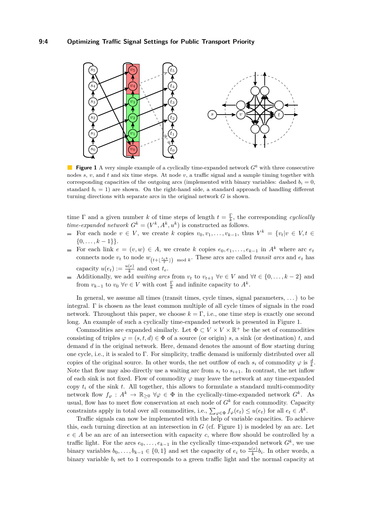<span id="page-3-0"></span>

**Figure 1** A very simple example of a cyclically time-expanded network  $G^6$  with three consecutive nodes *s*, *v*, and *t* and six time steps. At node *v*, a traffic signal and a sample timing together with corresponding capacities of the outgoing arcs (implemented with binary variables: dashed  $b_i = 0$ , standard  $b_i = 1$ ) are shown. On the right-hand side, a standard approach of handling different turning directions with separate arcs in the original network *G* is shown.

time  $\Gamma$  and a given number *k* of time steps of length  $t = \frac{\Gamma}{k}$ , the corresponding *cyclically time-expanded network*  $G^k = (V^k, A^k, u^k)$  is constructed as follows.

- For each node  $v \in V$ , we create  $k$  copies  $v_0, v_1, \ldots, v_{k-1}$ , thus  $V^k = \{v_t | v \in V, t \in$  $\{0, \ldots, k-1\}\}.$
- For each link  $e = (v, w) \in A$ , we create *k* copies  $e_0, e_1, \ldots, e_{k-1}$  in  $A^k$  where arc  $e_t$  $\blacksquare$ connects node  $v_t$  to node  $w_{(t+\lfloor \frac{te^k}{\Gamma} \rfloor)}$  mod *k*. These arcs are called *transit arcs* and  $e_t$  has capacity  $u(e_t) := \frac{u(e)}{k}$  and cost  $t_e$ .
- Additionally, we add *waiting arcs* from  $v_t$  to  $v_{t+1}$   $\forall v \in V$  and  $\forall t \in \{0, \ldots, k-2\}$  and from  $v_{k-1}$  to  $v_0 \ \forall v \in V$  with cost  $\frac{\Gamma}{k}$  and infinite capacity to  $A^k$ .

In general, we assume all times (transit times, cycle times, signal parameters, ...) to be integral.  $\Gamma$  is chosen as the least common multiple of all cycle times of signals in the road network. Throughout this paper, we choose  $k = \Gamma$ , i.e., one time step is exactly one second long. An example of such a cyclically time-expanded network is presented in Figure [1.](#page-3-0)

Commodities are expanded similarly. Let  $\Phi \subset V \times V \times \mathbb{R}^+$  be the set of commodities consisting of triples  $\varphi = (s, t, d) \in \Phi$  of a source (or origin) *s*, a sink (or destination) *t*, and demand *d* in the original network. Here, demand denotes the amount of flow starting during one cycle, i.e., it is scaled to  $\Gamma$ . For simplicity, traffic demand is uniformly distributed over all copies of the original source. In other words, the net outflow of each  $s_i$  of commodity  $\varphi$  is  $\frac{d}{k}$ . Note that flow may also directly use a waiting arc from  $s_i$  to  $s_{i+1}$ . In contrast, the net inflow of each sink is not fixed. Flow of commodity  $\varphi$  may leave the network at any time-expanded copy  $t_i$  of the sink  $t$ . All together, this allows to formulate a standard multi-commodity network flow  $f_{\varphi}: A^k \to \mathbb{R}_{\geq 0}$   $\forall \varphi \in \Phi$  in the cyclically-time-expanded network  $G^k$ . As usual, flow has to meet flow conservation at each node of  $G<sup>k</sup>$  for each commodity. Capacity constraints apply in total over all commodities, i.e.,  $\sum_{\varphi \in \Phi} f_{\varphi}(e_t) \leq u(e_t)$  for all  $e_t \in A^k$ .

Traffic signals can now be implemented with the help of variable capacities. To achieve this, each turning direction at an intersection in  $G$  (cf. Figure [1\)](#page-3-0) is modeled by an arc. Let  $e \in A$  be an arc of an intersection with capacity *c*, where flow should be controlled by a traffic light. For the arcs  $e_0, \ldots, e_{k-1}$  in the cyclically time-expanded network  $G^k$ , we use binary variables  $b_0, \ldots, b_{k-1} \in \{0, 1\}$  and set the capacity of  $e_i$  to  $\frac{u(e)}{k}b_i$ . In other words, a binary variable  $b_i$  set to 1 corresponds to a green traffic light and the normal capacity at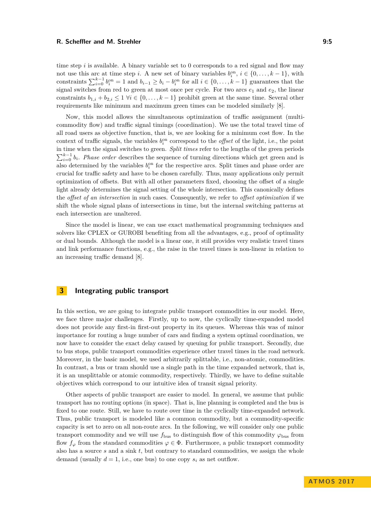#### **R. Scheffler and M. Strehler 6: 2008 19:5** 2009 19:5

time step *i* is available. A binary variable set to 0 corresponds to a red signal and flow may not use this arc at time step *i*. A new set of binary variables  $b_i^{\text{on}}, i \in \{0, \ldots, k-1\}$ , with constraints  $\sum_{i=0}^{k-1} b_i^{\text{on}} = 1$  and  $b_{i-1} \ge b_i - b_i^{\text{on}}$  for all  $i \in \{0, \ldots, k-1\}$  guarantees that the signal switches from red to green at most once per cycle. For two arcs  $e_1$  and  $e_2$ , the linear constraints  $b_{1,i} + b_{2,i} \leq 1 \ \forall i \in \{0, \ldots, k-1\}$  prohibit green at the same time. Several other requirements like minimum and maximum green times can be modeled similarly [\[8\]](#page-14-16).

Now, this model allows the simultaneous optimization of traffic assignment (multicommodity flow) and traffic signal timings (coordination). We use the total travel time of all road users as objective function, that is, we are looking for a minimum cost flow. In the context of traffic signals, the variables  $b_i^{\text{on}}$  correspond to the *offset* of the light, i.e., the point in time when the signal switches to green. *Split times* refer to the lengths of the green periods  $\sum_{i=0}^{k-1} b_i$ . *Phase order* describes the sequence of turning directions which get green and is also determined by the variables  $b_i^{\text{on}}$  for the respective arcs. Split times and phase order are crucial for traffic safety and have to be chosen carefully. Thus, many applications only permit optimization of offsets. But with all other parameters fixed, choosing the offset of a single light already determines the signal setting of the whole intersection. This canonically defines the *offset of an intersection* in such cases. Consequently, we refer to *offset optimization* if we shift the whole signal plans of intersections in time, but the internal switching patterns at each intersection are unaltered.

Since the model is linear, we can use exact mathematical programming techniques and solvers like CPLEX or GUROBI benefiting from all the advantages, e.g., proof of optimality or dual bounds. Although the model is a linear one, it still provides very realistic travel times and link performance functions, e.g., the raise in the travel times is non-linear in relation to an increasing traffic demand [\[8\]](#page-14-16).

# <span id="page-4-0"></span>**3 Integrating public transport**

In this section, we are going to integrate public transport commodities in our model. Here, we face three major challenges. Firstly, up to now, the cyclically time-expanded model does not provide any first-in first-out property in its queues. Whereas this was of minor importance for routing a huge number of cars and finding a system optimal coordination, we now have to consider the exact delay caused by queuing for public transport. Secondly, due to bus stops, public transport commodities experience other travel times in the road network. Moreover, in the basic model, we used arbitrarily splittable, i.e., non-atomic, commodities. In contrast, a bus or tram should use a single path in the time expanded network, that is, it is an unsplittable or atomic commodity, respectively. Thirdly, we have to define suitable objectives which correspond to our intuitive idea of transit signal priority.

Other aspects of public transport are easier to model. In general, we assume that public transport has no routing options (in space). That is, line planning is completed and the bus is fixed to one route. Still, we have to route over time in the cyclically time-expanded network. Thus, public transport is modeled like a common commodity, but a commodity-specific capacity is set to zero on all non-route arcs. In the following, we will consider only one public transport commodity and we will use  $f_{\text{bus}}$  to distinguish flow of this commodity  $\varphi_{\text{bus}}$  from flow  $f_{\varphi}$  from the standard commodities  $\varphi \in \Phi$ . Furthermore, a public transport commodity also has a source *s* and a sink *t*, but contrary to standard commodities, we assign the whole demand (usually  $d = 1$ , i.e., one bus) to one copy  $s_i$  as net outflow.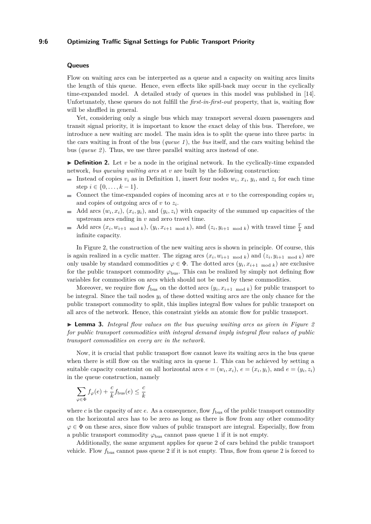## **Queues**

Flow on waiting arcs can be interpreted as a queue and a capacity on waiting arcs limits the length of this queue. Hence, even effects like spill-back may occur in the cyclically time-expanded model. A detailed study of queues in this model was published in [\[14\]](#page-14-14). Unfortunately, these queues do not fulfill the *first-in-first-out* property, that is, waiting flow will be shuffled in general.

Yet, considering only a single bus which may transport several dozen passengers and transit signal priority, it is important to know the exact delay of this bus. Therefore, we introduce a new waiting arc model. The main idea is to split the queue into three parts: in the cars waiting in front of the bus (*queue 1* ), the *bus* itself, and the cars waiting behind the bus (*queue 2* ). Thus, we use three parallel waiting arcs instead of one.

 $\triangleright$  **Definition 2.** Let *v* be a node in the original network. In the cyclically-time expanded network, *bus queuing waiting arcs* at *v* are built by the following construction:

- Instead of copies  $v_i$  as in Definition [1,](#page-2-1) insert four nodes  $w_i$ ,  $x_i$ ,  $y_i$ , and  $z_i$  for each time step  $i \in \{0, \ldots, k-1\}.$
- Connect the time-expanded copies of incoming arcs at  $v$  to the corresponding copies  $w_i$  $\blacksquare$ and copies of outgoing arcs of *v* to *z<sup>i</sup>* .
- Add arcs  $(w_i, x_i)$ ,  $(x_i, y_i)$ , and  $(y_i, z_i)$  with capacity of the summed up capacities of the  $\mathbf{r}$ upstream arcs ending in *v* and zero travel time.
- Add arcs  $(x_i, w_{i+1 \mod k})$ ,  $(y_i, x_{i+1 \mod k})$ , and  $(z_i, y_{i+1 \mod k})$  with travel time  $\frac{\Gamma}{k}$  and infinite capacity.

In Figure [2,](#page-6-0) the construction of the new waiting arcs is shown in principle. Of course, this is again realized in a cyclic matter. The zigzag arcs  $(x_i, w_{i+1 \mod k})$  and  $(z_i, y_{i+1 \mod k})$  are only usable by standard commodities  $\varphi \in \Phi$ . The dotted arcs  $(y_i, x_{i+1 \mod k})$  are exclusive for the public transport commodity  $\varphi_{\text{bus}}$ . This can be realized by simply not defining flow variables for commodities on arcs which should not be used by these commodities.

Moreover, we require flow  $f_{\text{bus}}$  on the dotted arcs  $(y_i, x_{i+1 \mod k})$  for public transport to be integral. Since the tail nodes  $y_i$  of these dotted waiting arcs are the only chance for the public transport commodity to split, this implies integral flow values for public transport on all arcs of the network. Hence, this constraint yields an atomic flow for public transport.

▶ **Lemma 3.** *Integral flow values on the bus queuing waiting arcs as given in Figure [2](#page-6-0) for public transport commodities with integral demand imply integral flow values of public transport commodities on every arc in the network.*

Now, it is crucial that public transport flow cannot leave its waiting arcs in the bus queue when there is still flow on the waiting arcs in queue 1. This can be achieved by setting a suitable capacity constraint on all horizontal arcs  $e = (w_i, x_i)$ ,  $e = (x_i, y_i)$ , and  $e = (y_i, z_i)$ in the queue construction, namely

$$
\sum_{\varphi \in \Phi} f_{\varphi}(e) + \frac{c}{k} f_{\text{bus}}(e) \le \frac{c}{k}
$$

where  $c$  is the capacity of arc  $e$ . As a consequence, flow  $f_{\text{bus}}$  of the public transport commodity on the horizontal arcs has to be zero as long as there is flow from any other commodity  $\varphi \in \Phi$  on these arcs, since flow values of public transport are integral. Especially, flow from a public transport commodity  $\varphi_{\text{bus}}$  cannot pass queue 1 if it is not empty.

Additionally, the same argument applies for queue 2 of cars behind the public transport vehicle. Flow *f*bus cannot pass queue 2 if it is not empty. Thus, flow from queue 2 is forced to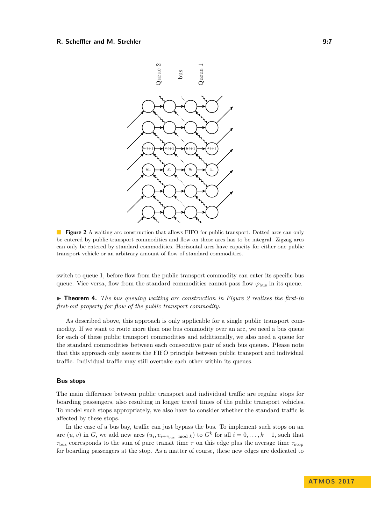#### <span id="page-6-0"></span>**R. Scheffler and M. Strehler 6:20 and 10:20 and 10:20 and 10:20 and 10:20 and 10:20 and 10:20 and 10:20 and 10:20 and 10:20 and 10:20 and 10:20 and 10:20 and 10:20 and 10:20 and 10:20 and 10:20 and 10:20 and 10:20 and 10:**



**Figure 2** A waiting arc construction that allows FIFO for public transport. Dotted arcs can only be entered by public transport commodities and flow on these arcs has to be integral. Zigzag arcs can only be entered by standard commodities. Horizontal arcs have capacity for either one public transport vehicle or an arbitrary amount of flow of standard commodities.

switch to queue 1, before flow from the public transport commodity can enter its specific bus queue. Vice versa, flow from the standard commodities cannot pass flow  $\varphi_{\text{bus}}$  in its queue.

I **Theorem 4.** *The bus queuing waiting arc construction in Figure [2](#page-6-0) realizes the first-in first-out property for flow of the public transport commodity.*

As described above, this approach is only applicable for a single public transport commodity. If we want to route more than one bus commodity over an arc, we need a bus queue for each of these public transport commodities and additionally, we also need a queue for the standard commodities between each consecutive pair of such bus queues. Please note that this approach only assures the FIFO principle between public transport and individual traffic. Individual traffic may still overtake each other within its queues.

## **Bus stops**

The main difference between public transport and individual traffic are regular stops for boarding passengers, also resulting in longer travel times of the public transport vehicles. To model such stops appropriately, we also have to consider whether the standard traffic is affected by these stops.

In the case of a bus bay, traffic can just bypass the bus. To implement such stops on an arc  $(u, v)$  in *G*, we add new arcs  $(u_i, v_{i+\tau_{\text{bus mod } k}})$  to  $G^k$  for all  $i = 0, \ldots, k-1$ , such that  $\tau_{\text{bus}}$  corresponds to the sum of pure transit time  $\tau$  on this edge plus the average time  $\tau_{\text{stop}}$ for boarding passengers at the stop. As a matter of course, these new edges are dedicated to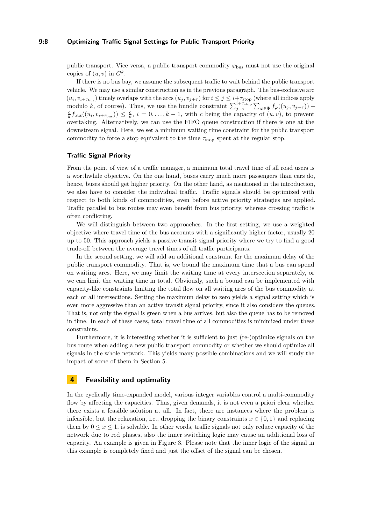#### **9:8 Optimizing Traffic Signal Settings for Public Transport Priority**

public transport. Vice versa, a public transport commodity  $\varphi_{\text{bus}}$  must not use the original copies of  $(u, v)$  in  $G^k$ .

If there is no bus bay, we assume the subsequent traffic to wait behind the public transport vehicle. We may use a similar construction as in the previous paragraph. The bus-exclusive arc  $(u_i, v_{i+\tau_{\text{bus}}})$  timely overlaps with the arcs  $(u_j, v_{j+\tau})$  for  $i \leq j \leq i+\tau_{\text{stop}}$  (where all indices apply modulo *k*, of course). Thus, we use the bundle constraint  $\sum_{j=i}^{i+\tau_{\text{stop}}}\sum_{\varphi\in\Phi}f_{\varphi}((u_j,v_{j+\tau}))$  +  $\frac{c}{k} f_{\text{bus}}((u_i, v_{i+\tau_{\text{bus}}})) \leq \frac{c}{k}$ ,  $i = 0, \ldots, k-1$ , with *c* being the capacity of  $(u, v)$ , to prevent overtaking. Alternatively, we can use the FIFO queue construction if there is one at the downstream signal. Here, we set a minimum waiting time constraint for the public transport commodity to force a stop equivalent to the time  $\tau_{stop}$  spent at the regular stop.

#### **Traffic Signal Priority**

From the point of view of a traffic manager, a minimum total travel time of all road users is a worthwhile objective. On the one hand, buses carry much more passengers than cars do, hence, buses should get higher priority. On the other hand, as mentioned in the introduction, we also have to consider the individual traffic. Traffic signals should be optimized with respect to both kinds of commodities, even before active priority strategies are applied. Traffic parallel to bus routes may even benefit from bus priority, whereas crossing traffic is often conflicting.

We will distinguish between two approaches. In the first setting, we use a weighted objective where travel time of the bus accounts with a significantly higher factor, usually 20 up to 50. This approach yields a passive transit signal priority where we try to find a good trade-off between the average travel times of all traffic participants.

In the second setting, we will add an additional constraint for the maximum delay of the public transport commodity. That is, we bound the maximum time that a bus can spend on waiting arcs. Here, we may limit the waiting time at every intersection separately, or we can limit the waiting time in total. Obviously, such a bound can be implemented with capacity-like constraints limiting the total flow on all waiting arcs of the bus commodity at each or all intersections. Setting the maximum delay to zero yields a signal setting which is even more aggressive than an active transit signal priority, since it also considers the queues. That is, not only the signal is green when a bus arrives, but also the queue has to be removed in time. In each of these cases, total travel time of all commodities is minimized under these constraints.

Furthermore, it is interesting whether it is sufficient to just (re-)optimize signals on the bus route when adding a new public transport commodity or whether we should optimize all signals in the whole network. This yields many possible combinations and we will study the impact of some of them in Section [5.](#page-10-0)

## <span id="page-7-0"></span>**4 Feasibility and optimality**

In the cyclically time-expanded model, various integer variables control a multi-commodity flow by affecting the capacities. Thus, given demands, it is not even a priori clear whether there exists a feasible solution at all. In fact, there are instances where the problem is infeasible, but the relaxation, i.e., dropping the binary constraints  $x \in \{0, 1\}$  and replacing them by  $0 \le x \le 1$ , is solvable. In other words, traffic signals not only reduce capacity of the network due to red phases, also the inner switching logic may cause an additional loss of capacity. An example is given in Figure [3.](#page-8-0) Please note that the inner logic of the signal in this example is completely fixed and just the offset of the signal can be chosen.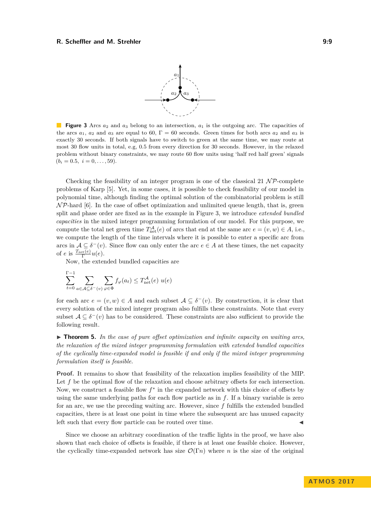#### <span id="page-8-0"></span>**R. Scheffler and M. Strehler 6: 2008 19:9** 9:9



**Figure 3** Arcs  $a_2$  and  $a_3$  belong to an intersection,  $a_1$  is the outgoing arc. The capacities of the arcs  $a_1$ ,  $a_2$  and  $a_3$  are equal to 60,  $\Gamma = 60$  seconds. Green times for both arcs  $a_2$  and  $a_3$  is exactly 30 seconds. If both signals have to switch to green at the same time, we may route at most 30 flow units in total, e.g, 0.5 from every direction for 30 seconds. However, in the relaxed problem without binary constraints, we may route 60 flow units using 'half red half green' signals  $(b_i = 0.5, i = 0, \ldots, 59).$ 

Checking the feasibility of an integer program is one of the classical 21  $\mathcal{NP}$ -complete problems of Karp [\[5\]](#page-14-17). Yet, in some cases, it is possible to check feasibility of our model in polynomial time, although finding the optimal solution of the combinatorial problem is still  $N\mathcal{P}$ -hard [\[6\]](#page-14-12). In the case of offset optimization and unlimited queue length, that is, green split and phase order are fixed as in the example in Figure [3,](#page-8-0) we introduce *extended bundled capacities* in the mixed integer programming formulation of our model. For this purpose, we compute the total net green time  $T_{\text{net}}^{\mathcal{A}}(e)$  of arcs that end at the same arc  $e = (v, w) \in A$ , i.e., we compute the length of the time intervals where it is possible to enter a specific arc from arcs in  $A \subseteq \delta^-(v)$ . Since flow can only enter the arc  $e \in A$  at these times, the net capacity of *e* is  $\frac{T_{\text{net}}(e)}{\Gamma}u(e)$ .

Now, the extended bundled capacities are

$$
\sum_{t=0}^{\Gamma-1} \sum_{a \in \mathcal{A} \subseteq \delta^-(v)} \sum_{\varphi \in \Phi} f_{\varphi}(a_t) \leq T_{\text{net}}^{\mathcal{A}}(e) u(e)
$$

Γ

for each arc  $e = (v, w) \in A$  and each subset  $A \subseteq \delta^-(v)$ . By construction, it is clear that every solution of the mixed integer program also fulfills these constraints. Note that every subset  $A \subseteq \delta^-(v)$  has to be considered. These constraints are also sufficient to provide the following result.

<span id="page-8-1"></span>▶ **Theorem 5.** In the case of pure offset optimization and infinite capacity on waiting arcs, *the relaxation of the mixed integer programming formulation with extended bundled capacities of the cyclically time-expanded model is feasible if and only if the mixed integer programming formulation itself is feasible.*

**Proof.** It remains to show that feasibility of the relaxation implies feasibility of the MIP. Let *f* be the optimal flow of the relaxation and choose arbitrary offsets for each intersection. Now, we construct a feasible flow  $f^*$  in the expanded network with this choice of offsets by using the same underlying paths for each flow particle as in *f*. If a binary variable is zero for an arc, we use the preceding waiting arc. However, since *f* fulfills the extended bundled capacities, there is at least one point in time where the subsequent arc has unused capacity left such that every flow particle can be routed over time.

Since we choose an arbitrary coordination of the traffic lights in the proof, we have also shown that each choice of offsets is feasible, if there is at least one feasible choice. However, the cyclically time-expanded network has size  $\mathcal{O}(\Gamma n)$  where *n* is the size of the original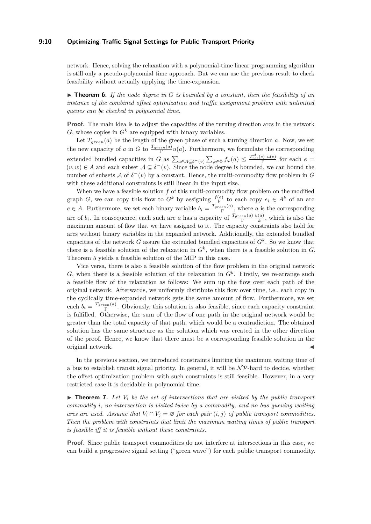#### **9:10 Optimizing Traffic Signal Settings for Public Transport Priority**

network. Hence, solving the relaxation with a polynomial-time linear programming algorithm is still only a pseudo-polynomial time approach. But we can use the previous result to check feasibility without actually applying the time-expansion.

 $\triangleright$  **Theorem 6.** If the node degree in G is bounded by a constant, then the feasibility of an *instance of the combined offset optimization and traffic assignment problem with unlimited queues can be checked in polynomial time.*

**Proof.** The main idea is to adjust the capacities of the turning direction arcs in the network  $G$ , whose copies in  $G^k$  are equipped with binary variables.

Let  $T_{green}(a)$  be the length of the green phase of such a turning direction *a*. Now, we set the new capacity of *a* in *G* to  $\frac{T_{green}(a)}{\Gamma}u(a)$ . Furthermore, we formulate the corresponding Γ extended bundled capacities in *G* as  $\sum_{a \in A \subseteq \delta^-(v)} \sum_{\varphi \in \Phi} f_{\varphi}(a) \leq \frac{T_{\text{net}}^A(e) u(e)}{\Gamma}$  for each  $e =$  $(v, w) \in A$  and each subset  $A \subseteq \delta^-(v)$ . Since the node degree is bounded, we can bound the number of subsets  $\mathcal A$  of  $\delta^-(v)$  by a constant. Hence, the multi-commodity flow problem in  $G$ with these additional constraints is still linear in the input size.

When we have a feasible solution f of this multi-commodity flow problem on the modified graph *G*, we can copy this flow to  $G^k$  by assigning  $\frac{f(e)}{k}$  to each copy  $e_i \in A^k$  of an arc  $e \in A$ . Furthermore, we set each binary variable  $b_i = \frac{T_{green}(a)}{\Gamma}$ , where *a* is the corresponding Γ arc of  $b_i$ . In consequence, each such arc *a* has a capacity of  $\frac{T_{green}(a)}{\Gamma}$ *u*(*a*)  $\frac{a}{k}$ , which is also the maximum amount of flow that we have assigned to it. The capacity constraints also hold for arcs without binary variables in the expanded network. Additionally, the extended bundled capacities of the network *G* assure the extended bundled capacities of  $G^k$ . So we know that there is a feasible solution of the relaxation in  $G<sup>k</sup>$ , when there is a feasible solution in  $G$ . Theorem [5](#page-8-1) yields a feasible solution of the MIP in this case.

Vice versa, there is also a feasible solution of the flow problem in the original network *G*, when there is a feasible solution of the relaxation in  $G<sup>k</sup>$ . Firstly, we re-arrange such a feasible flow of the relaxation as follows: We sum up the flow over each path of the original network. Afterwards, we uniformly distribute this flow over time, i.e., each copy in the cyclically time-expanded network gets the same amount of flow. Furthermore, we set each  $b_i = \frac{T_{green}(a)}{\Gamma}$ . Obviously, this solution is also feasible, since each capacity constraint is fulfilled. Otherwise, the sum of the flow of one path in the original network would be greater than the total capacity of that path, which would be a contradiction. The obtained solution has the same structure as the solution which was created in the other direction of the proof. Hence, we know that there must be a corresponding feasible solution in the original network. J

In the previous section, we introduced constraints limiting the maximum waiting time of a bus to establish transit signal priority. In general, it will be  $\mathcal{NP}$ -hard to decide, whether the offset optimization problem with such constraints is still feasible. However, in a very restricted case it is decidable in polynomial time.

 $\triangleright$  **Theorem 7.** Let  $V_i$  be the set of intersections that are visited by the public transport *commodity i, no intersection is visited twice by a commodity, and no bus queuing waiting arcs are used. Assume that*  $V_i \cap V_j = \emptyset$  *for each pair*  $(i, j)$  *of public transport commodities. Then the problem with constraints that limit the maximum waiting times of public transport is feasible iff it is feasible without these constraints.*

**Proof.** Since public transport commodities do not interfere at intersections in this case, we can build a progressive signal setting ("green wave") for each public transport commodity.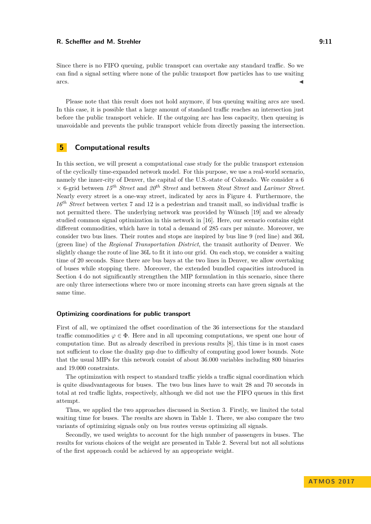#### **R. Scheffler and M. Strehler 6:20 and 10:20 and 10:20 and 10:20 and 10:20 and 10:20 and 10:20 and 10:20 and 10:20 and 10:20 and 10:20 and 10:20 and 10:20 and 10:20 and 10:20 and 10:20 and 10:20 and 10:20 and 10:20 and 10:**

Since there is no FIFO queuing, public transport can overtake any standard traffic. So we can find a signal setting where none of the public transport flow particles has to use waiting  $\overline{\mathbf{a}}$  arcs.

Please note that this result does not hold anymore, if bus queuing waiting arcs are used. In this case, it is possible that a large amount of standard traffic reaches an intersection just before the public transport vehicle. If the outgoing arc has less capacity, then queuing is unavoidable and prevents the public transport vehicle from directly passing the intersection.

# <span id="page-10-0"></span>**5 Computational results**

In this section, we will present a computational case study for the public transport extension of the cyclically time-expanded network model. For this purpose, we use a real-world scenario, namely the inner-city of Denver, the capital of the U.S.-state of Colorado. We consider a 6 × 6-grid between *15th Street* and *20th Street* and between *Stout Street* and *Larimer Street*. Nearly every street is a one-way street, indicated by arcs in Figure [4.](#page-11-0) Furthermore, the *16th Street* between vertex 7 and 12 is a pedestrian and transit mall, so individual traffic is not permitted there. The underlying network was provided by Wünsch [\[19\]](#page-14-18) and we already studied common signal optimization in this network in [\[16\]](#page-14-19). Here, our scenario contains eight different commodities, which have in total a demand of 285 cars per minute. Moreover, we consider two bus lines. Their routes and stops are inspired by bus line 9 (red line) and 36L (green line) of the *Regional Transportation District*, the transit authority of Denver. We slightly change the route of line 36L to fit it into our grid. On each stop, we consider a waiting time of 20 seconds. Since there are bus bays at the two lines in Denver, we allow overtaking of buses while stopping there. Moreover, the extended bundled capacities introduced in Section [4](#page-7-0) do not significantly strengthen the MIP formulation in this scenario, since there are only three intersections where two or more incoming streets can have green signals at the same time.

#### **Optimizing coordinations for public transport**

First of all, we optimized the offset coordination of the 36 intersections for the standard traffic commodities  $\varphi \in \Phi$ . Here and in all upcoming computations, we spent one hour of computation time. But as already described in previous results [\[8\]](#page-14-16), this time is in most cases not sufficient to close the duality gap due to difficulty of computing good lower bounds. Note that the usual MIPs for this network consist of about 36.000 variables including 800 binaries and 19.000 constraints.

The optimization with respect to standard traffic yields a traffic signal coordination which is quite disadvantageous for buses. The two bus lines have to wait 28 and 70 seconds in total at red traffic lights, respectively, although we did not use the FIFO queues in this first attempt.

Thus, we applied the two approaches discussed in Section [3.](#page-4-0) Firstly, we limited the total waiting time for buses. The results are shown in Table [1.](#page-11-1) There, we also compare the two variants of optimizing signals only on bus routes versus optimizing all signals.

Secondly, we used weights to account for the high number of passengers in buses. The results for various choices of the weight are presented in Table [2.](#page-12-0) Several but not all solutions of the first approach could be achieved by an appropriate weight.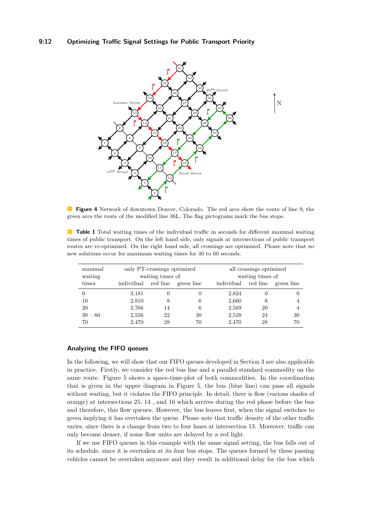## **9:12 Optimizing Traffic Signal Settings for Public Transport Priority**

<span id="page-11-0"></span>

**Figure 4** Network of downtown Denver, Colorado. The red arcs show the route of line 9, the green arcs the route of the modified line 36L. The flag pictograms mark the bus stops.

<span id="page-11-1"></span>**Table 1** Total waiting times of the individual traffic in seconds for different maximal waiting times of public transport. On the left hand side, only signals at intersections of public transport routes are re-optimized. On the right hand side, all crossings are optimized. Please note that no new solutions occur for maximum waiting times for 40 to 60 seconds.

| maximal<br>waiting | only PT-crossings optimized<br>waiting times of |    |            | all crossings optimized<br>waiting times of |    |                     |
|--------------------|-------------------------------------------------|----|------------|---------------------------------------------|----|---------------------|
| times              | individual red line                             |    | green line | individual                                  |    | red line green line |
|                    | 3.181                                           |    |            | 2,824                                       |    |                     |
| 10                 | 2,810                                           |    | 6          | 2,660                                       | 6  |                     |
| 20                 | 2,766                                           | 14 | 6          | 2,569                                       | 20 |                     |
| $30 - 60$          | 2,556                                           | 22 | 30         | 2,528                                       | 24 | 30                  |
| 70                 | 2,470                                           | 28 | 70         | 2,470                                       | 28 | 70                  |

## **Analyzing the FIFO queues**

In the following, we will show that our FIFO queues developed in Section [3](#page-4-0) are also applicable in practice. Firstly, we consider the red bus line and a parallel standard commodity on the same route. Figure [5](#page-12-1) shows a space-time-plot of both commodities. In the coordination that is given in the upper diagram in Figure [5,](#page-12-1) the bus (blue line) can pass all signals without waiting, but it violates the FIFO principle. In detail, there is flow (various shades of orange) at intersections 25, 14 , and 16 which arrives during the red phase before the bus and therefore, this flow queues. However, the bus leaves first, when the signal switches to green implying it has overtaken the queue. Please note that traffic density of the other traffic varies, since there is a change from two to four lanes at intersection 13. Moreover, traffic can only become denser, if some flow units are delayed by a red light.

If we use FIFO queues in this example with the same signal setting, the bus falls out of its schedule, since it is overtaken at its four bus stops. The queues formed by these passing vehicles cannot be overtaken anymore and they result in additional delay for the bus which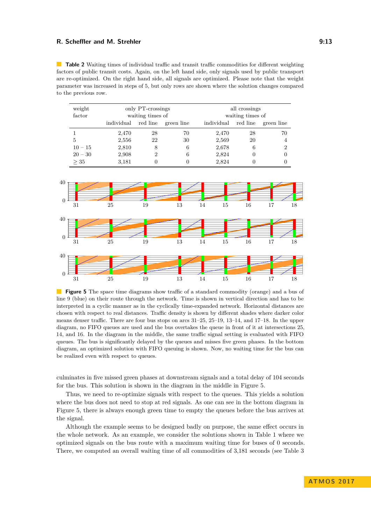#### **R. Scheffler and M. Strehler 6:233 (2008)** 2:13

<span id="page-12-0"></span>**Table 2** Waiting times of individual traffic and transit traffic commodities for different weighting factors of public transit costs. Again, on the left hand side, only signals used by public transport are re-optimized. On the right hand side, all signals are optimized. Please note that the weight parameter was increased in steps of 5, but only rows are shown where the solution changes compared to the previous row.

| weight    | only PT-crossings |          |            | all crossings    |          |                |  |
|-----------|-------------------|----------|------------|------------------|----------|----------------|--|
| factor    | waiting times of  |          |            | waiting times of |          |                |  |
|           | individual        | red line | green line | individual       | red line | green line     |  |
|           | 2,470             | 28       | 70         | 2,470            | 28       | 70             |  |
| 5         | 2,556             | 22       | 30         | 2,569            | 20       | 4              |  |
| $10 - 15$ | 2,810             | 8        | 6          | 2,678            | 6        | $\overline{2}$ |  |
| $20 - 30$ | 2,908             | 2        | 6          | 2,824            | 0        |                |  |
| >35       | 3,181             |          |            | 2,824            |          |                |  |

<span id="page-12-1"></span>

**Figure 5** The space time diagrams show traffic of a standard commodity (orange) and a bus of line 9 (blue) on their route through the network. Time is shown in vertical direction and has to be interpreted in a cyclic manner as in the cyclically time-expanded network. Horizontal distances are chosen with respect to real distances. Traffic density is shown by different shades where darker color means denser traffic. There are four bus stops on arcs 31–25, 25–19, 13–14, and 17–18. In the upper diagram, no FIFO queues are used and the bus overtakes the queue in front of it at intersections 25, 14, and 16. In the diagram in the middle, the same traffic signal setting is evaluated with FIFO queues. The bus is significantly delayed by the queues and misses five green phases. In the bottom diagram, an optimized solution with FIFO queuing is shown. Now, no waiting time for the bus can be realized even with respect to queues.

culminates in five missed green phases at downstream signals and a total delay of 104 seconds for the bus. This solution is shown in the diagram in the middle in Figure [5.](#page-12-1)

Thus, we need to re-optimize signals with respect to the queues. This yields a solution where the bus does not need to stop at red signals. As one can see in the bottom diagram in Figure [5,](#page-12-1) there is always enough green time to empty the queues before the bus arrives at the signal.

Although the example seems to be designed badly on purpose, the same effect occurs in the whole network. As an example, we consider the solutions shown in Table [1](#page-11-1) where we optimized signals on the bus route with a maximum waiting time for buses of 0 seconds. There, we computed an overall waiting time of all commodities of 3,181 seconds (see Table [3](#page-13-0)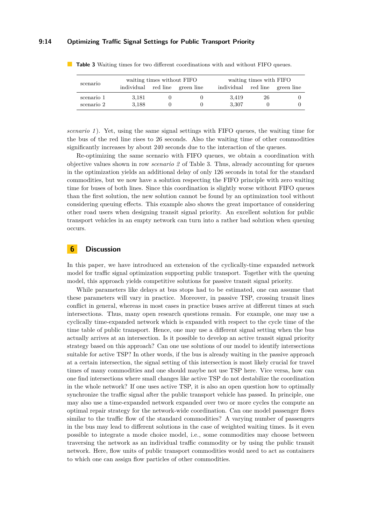#### **9:14 Optimizing Traffic Signal Settings for Public Transport Priority**

| scenario   | waiting times without FIFO |  |                                | waiting times with FIFO |    |                                |
|------------|----------------------------|--|--------------------------------|-------------------------|----|--------------------------------|
|            |                            |  | individual red line green line |                         |    | individual red line green line |
| scenario 1 | 3,181                      |  |                                | 3.419                   | 26 |                                |
| scenario 2 | 3.188                      |  |                                | 3.307                   |    |                                |

<span id="page-13-0"></span>**Table 3** Waiting times for two different coordinations with and without FIFO queues.

*scenario 1* ). Yet, using the same signal settings with FIFO queues, the waiting time for the bus of the red line rises to 26 seconds. Also the waiting time of other commodities significantly increases by about 240 seconds due to the interaction of the queues.

Re-optimizing the same scenario with FIFO queues, we obtain a coordination with objective values shown in row *scenario 2* of Table [3.](#page-13-0) Thus, already accounting for queues in the optimization yields an additional delay of only 126 seconds in total for the standard commodities, but we now have a solution respecting the FIFO principle with zero waiting time for buses of both lines. Since this coordination is slightly worse without FIFO queues than the first solution, the new solution cannot be found by an optimization tool without considering queuing effects. This example also shows the great importance of considering other road users when designing transit signal priority. An excellent solution for public transport vehicles in an empty network can turn into a rather bad solution when queuing occurs.

## **6 Discussion**

In this paper, we have introduced an extension of the cyclically-time expanded network model for traffic signal optimization supporting public transport. Together with the queuing model, this approach yields competitive solutions for passive transit signal priority.

While parameters like delays at bus stops had to be estimated, one can assume that these parameters will vary in practice. Moreover, in passive TSP, crossing transit lines conflict in general, whereas in most cases in practice buses arrive at different times at such intersections. Thus, many open research questions remain. For example, one may use a cyclically time-expanded network which is expanded with respect to the cycle time of the time table of public transport. Hence, one may use a different signal setting when the bus actually arrives at an intersection. Is it possible to develop an active transit signal priority strategy based on this approach? Can one use solutions of our model to identify intersections suitable for active TSP? In other words, if the bus is already waiting in the passive approach at a certain intersection, the signal setting of this intersection is most likely crucial for travel times of many commodities and one should maybe not use TSP here. Vice versa, how can one find intersections where small changes like active TSP do not destabilize the coordination in the whole network? If one uses active TSP, it is also an open question how to optimally synchronize the traffic signal after the public transport vehicle has passed. In principle, one may also use a time-expanded network expanded over two or more cycles the compute an optimal repair strategy for the network-wide coordination. Can one model passenger flows similar to the traffic flow of the standard commodities? A varying number of passengers in the bus may lead to different solutions in the case of weighted waiting times. Is it even possible to integrate a mode choice model, i.e., some commodities may choose between traversing the network as an individual traffic commodity or by using the public transit network. Here, flow units of public transport commodities would need to act as containers to which one can assign flow particles of other commodities.